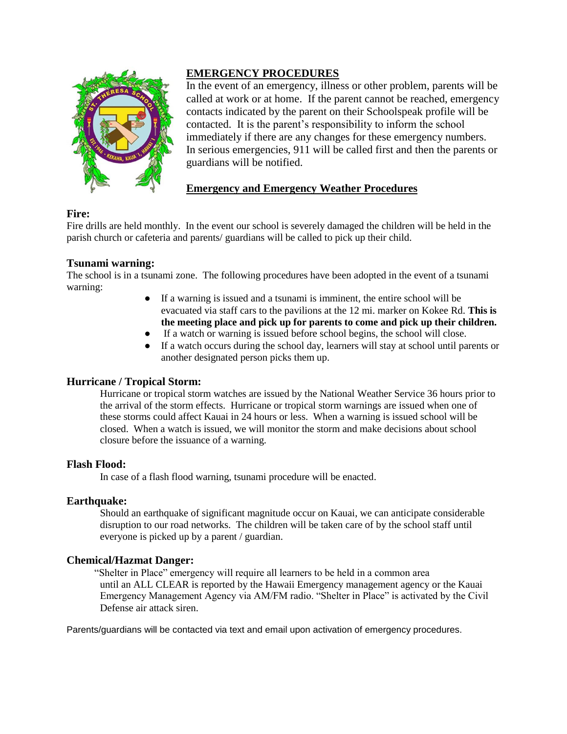

### **EMERGENCY PROCEDURES**

In the event of an emergency, illness or other problem, parents will be called at work or at home. If the parent cannot be reached, emergency contacts indicated by the parent on their Schoolspeak profile will be contacted. It is the parent's responsibility to inform the school immediately if there are any changes for these emergency numbers. In serious emergencies, 911 will be called first and then the parents or guardians will be notified.

# **Emergency and Emergency Weather Procedures**

### **Fire:**

Fire drills are held monthly. In the event our school is severely damaged the children will be held in the parish church or cafeteria and parents/ guardians will be called to pick up their child.

### **Tsunami warning:**

The school is in a tsunami zone. The following procedures have been adopted in the event of a tsunami warning:

- If a warning is issued and a tsunami is imminent, the entire school will be evacuated via staff cars to the pavilions at the 12 mi. marker on Kokee Rd. **This is the meeting place and pick up for parents to come and pick up their children.**
- If a watch or warning is issued before school begins, the school will close.
- If a watch occurs during the school day, learners will stay at school until parents or another designated person picks them up.

### **Hurricane / Tropical Storm:**

Hurricane or tropical storm watches are issued by the National Weather Service 36 hours prior to the arrival of the storm effects. Hurricane or tropical storm warnings are issued when one of these storms could affect Kauai in 24 hours or less. When a warning is issued school will be closed. When a watch is issued, we will monitor the storm and make decisions about school closure before the issuance of a warning.

### **Flash Flood:**

In case of a flash flood warning, tsunami procedure will be enacted.

### **Earthquake:**

Should an earthquake of significant magnitude occur on Kauai, we can anticipate considerable disruption to our road networks. The children will be taken care of by the school staff until everyone is picked up by a parent / guardian.

## **Chemical/Hazmat Danger:**

"Shelter in Place" emergency will require all learners to be held in a common area until an ALL CLEAR is reported by the Hawaii Emergency management agency or the Kauai Emergency Management Agency via AM/FM radio. "Shelter in Place" is activated by the Civil Defense air attack siren.

Parents/guardians will be contacted via text and email upon activation of emergency procedures.